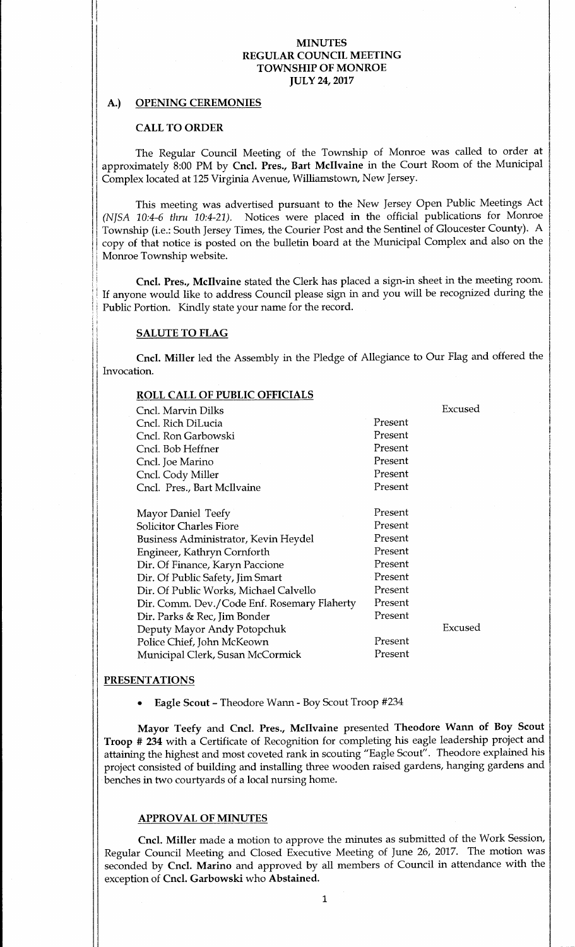### A.) OPENING CEREMONIES

#### CALL TO ORDER

The Regular Council Meeting of the Township of Monroe was called to order at approximately 8:00 PM by Cncl. Pres., Bart McIlvaine in the Court Room of the Municipal Complex located at 125 Virginia Avenue, Williamstown, New Jersey.

This meeting was advertised pursuant to the New Jersey Open Public Meetings Act (NJSA 10:4-6 thru 10:4-21). Notices were placed in the official publications for Monroe Township (i.e.: South Jersey Times, the Courier Post and the Sentinel of Gloucester County). A copy of that notice is posted on the bulletin board at the Municipal Complex and also on the Monroe Township website.

Cncl. Pres., Mcllvaine stated the Clerk has placed a sign-in sheet in the meeting room. If anyone would like to address Council please sign in and you will be recognized during the Public Portion. Kindly state your name for the record.

## SALUTE TO FLAG

Cncl. Miller led the Assembly in the Pledge of Allegiance to Our Flag and offered the Invocation.

| <b>ROLL CALL OF PUBLIC OFFICIALS</b>        |         |         |
|---------------------------------------------|---------|---------|
| Cncl. Marvin Dilks                          |         | Excused |
| Cncl. Rich DiLucia                          | Present |         |
| Cncl. Ron Garbowski                         | Present |         |
| Cncl. Bob Heffner                           | Present |         |
| Cncl. Joe Marino                            | Present |         |
| Cncl. Cody Miller                           | Present |         |
| Cncl. Pres., Bart McIlvaine                 | Present |         |
|                                             |         |         |
| Mayor Daniel Teefy                          | Present |         |
| <b>Solicitor Charles Fiore</b>              | Present |         |
| Business Administrator, Kevin Heydel        | Present |         |
| Engineer, Kathryn Cornforth                 | Present |         |
| Dir. Of Finance, Karyn Paccione             | Present |         |
| Dir. Of Public Safety, Jim Smart            | Present |         |
| Dir. Of Public Works, Michael Calvello      | Present |         |
| Dir. Comm. Dev./Code Enf. Rosemary Flaherty | Present |         |
| Dir. Parks & Rec, Jim Bonder                | Present |         |
| Deputy Mayor Andy Potopchuk                 |         | Excused |
| Police Chief, John McKeown                  | Present |         |
| Municipal Clerk, Susan McCormick            | Present |         |

#### **PRESENTATIONS**

Eagle Scout- Theodore Wann- Boy Scout Troop #234

Mayor Teefy and Cncl. Pres., Mcllvaine presented Theodore Wann of Boy Scout Troop # 234 with <sup>a</sup> Certificate of Recognition for completing his eagle leadership project and attaining the highest and most coveted rank in scouting "Eagle Scout". Theodore explained his project consisted of building and installing three wooden raised gardens, hanging gardens and benches in two courtyards of a local nursing home.

#### APPROVAL OF MINUTES

Cncl. Miller made <sup>a</sup> motion to approve the minutes as submitted of the Work Session, Regular Council Meeting and Closed Executive Meeting of June 26, 2017. The motion was seconded by Cncl. Marino and approved by all members of Council in attendance with the exception of Cncl. Garbowski who Abstained.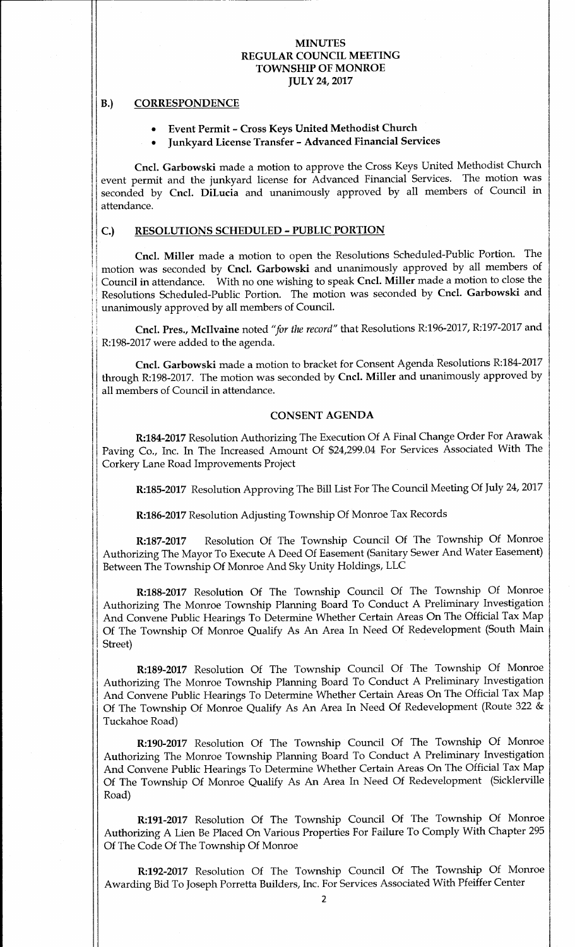### B.) CORRESPONDENCE

I

#### Event Permit- Cross Keys United Methodist Church

Junkyard License Transfer- Advanced Financial Services

Cncl. Garbowski made <sup>a</sup> motion to approve the Cross Keys United Methodist Church event permit and the junkyard license for Advanced Financial Services. The motion was seconded by Cncl. DiLucia and unanimously approved by all members of Council in attendance.

## C.) RESOLUTIONS SCHEDULED - PUBLIC PORTION

Cncl. Miller made <sup>a</sup> motion to open the Resolutions Scheduled-Public Portion. The motion was seconded by Cncl. Garbowski and unanimously approved by all members of Council in attendance. With no one wishing to speak Cncl. Miller made <sup>a</sup> motion to close the Resolutions Scheduled-Public Portion. The motion was seconded by Cncl. Garbowski and unanimously approved by all members of Council.

Cncl. Pres., Mcllvaine noted "for the record" that Resolutions R:196-2017, R:197-2017 and R:198-2017 were added to the agenda.

Cncl. Garbowski made a motion to bracket for Consent Agenda Resolutions R:184-2017 through R:198-2017. The motion was seconded by Cncl. Miller and unanimously approved by all members of Council in attendance.

### CONSENT AGENDA

R:184-2017 Resolution Authorizing The Execution Of A Final Change Order For Arawak Paving Co., Inc. In The Increased Amount Of \$24,299.04 For Services Associated With The Corkery Lane Road Improvements Project

R:185-2017 Resolution Approving The Bill List For The Council Meeting Of July 24, 2017

R:186-2017 Resolution Adjusting Township Of Monroe Tax Records

R:187-2017 Resolution Of The Township Council Of The Township Of Monroe Authorizing The Mayor To Execute A Deed Of Easement (Sanitary Sewer And Water Easement) Between The Township Of Monroe And Sky Unity Holdings, LLC

R:188-2017 Resolution Of The Township Council Of The Township Of Monroe Authorizing The Monroe Township Planning Board To Conduct A Preliminary Investigation And Convene Public Hearings To Determine Whether Certain Areas On The Official Tax Map Of The Township Of Monroe Qualify As An Area In Need Of Redevelopment (South Main Street)

R:189-2017 Resolution Of The Township Council Of The Township Of Monroe Authorizing The Monroe Township Planning Board To Conduct A Preliminary Investigation And Convene Public Hearings To Determine Whether Certain Areas On The Official Tax Map Of The Township Of Monroe Qualify As An Area In Need Of Redevelopment ( Route 322 & Tuckahoe Road)

R:190-2017 Resolution Of The Township Council Of The Township Of Monroe Authorizing The Monroe Township Planning Board To Conduct A Preliminary Investigation And Convene Public Hearings To Determine Whether Certain Areas On The Official Tax Map Of The Township Of Monroe Qualify As An Area In Need Of Redevelopment (Sicklerville Road)

R:191-2017 Resolution Of The Township Council Of The Township Of Monroe Authorizing A Lien Be Placed On Various Properties For Failure To Comply With Chapter 295 Of The Code Of The Township Of Monroe

R:192-2017 Resolution Of The Township Council Of The Township Of Monroe Awarding Bid To Joseph Porretta Builders, Inc. For Services Associated With Pfeiffer Center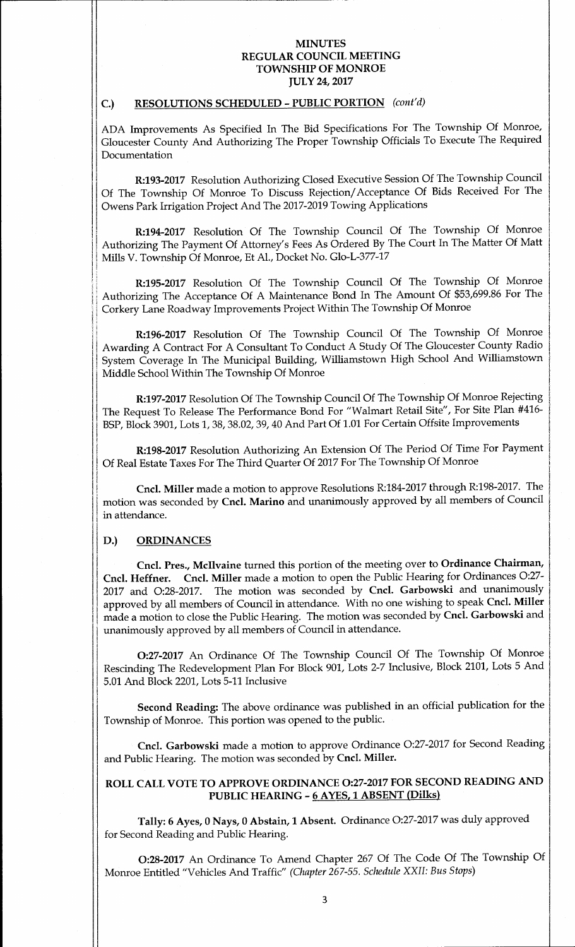## C.) RESOLUTIONS SCHEDULED - PUBLIC PORTION (cont'd)

ADA Improvements As Specified In The Bid Specifications For The Township Of Monroe, Gloucester County And Authorizing The Proper Township Officials To Execute The Required Documentation

R:193-2017 Resolution Authorizing Closed Executive Session Of The Township Council Of The Township Of Monroe To Discuss Rejection/ Acceptance Of Bids Received For The Owens Park Irrigation Project And The 2017-2019 Towing Applications

R:194-2017 Resolution Of The Township Council Of The Township Of Monroe Authorizing The Payment Of Attorney's Fees As Ordered By The Court In The Matter Of Matt Mills V. Township Of Monroe, Et Al., Docket No. Glo-L-377- 17

R:195- 2017 Resolution Of The Township Council Of The Township Of Monroe Authorizing The Acceptance Of A Maintenance Bond In The Amount Of \$53, 699.86 For The Corkery Lane Roadway Improvements Project Within The Township Of Monroe

R:196-2017 Resolution Of The Township Council Of The Township Of Monroe Awarding A Contract For A Consultant To Conduct A Study Of The Gloucester County Radio System Coverage In The Municipal Building, Williamstown High School And Williamstown Middle School Within The Township Of Monroe

R:197-2017 Resolution Of The Township Council Of The Township Of Monroe Rejecting The Request To Release The Performance Bond For "Walmart Retail Site", For Site Plan #416-BSP, Block 3901, Lots 1, 38, 38.02, 39, 40 And Part Of 1. 01 For Certain Offsite Improvements

R:198-2017 Resolution Authorizing An Extension Of The Period Of Time For Payment Of Real Estate Taxes For The Third Quarter Of 2017 For The Township Of Monroe

Cncl. Miller made a motion to approve Resolutions R:184-2017 through R:198-2017. The motion was seconded by Cncl. Marino and unanimously approved by all members of Council in attendance.

#### D.) ORDINANCES

a.,

Cncl. Pres., Mcllvaine turned this portion of the meeting over to Ordinance Chairman, Cncl. Heffner. Cncl. Miller made <sup>a</sup> motion to open the Public Hearing for Ordinances 0:27- <sup>2017</sup> and 0:28-2017. The motion was seconded by Cncl. Garbowski and unanimously approved by all members of Council in attendance. With no one wishing to speak Cncl. Miller made a motion to close the Public Hearing. The motion was seconded by Cncl. Garbowski and unanimously approved by all members of Council in attendance.

0:27-2017 An Ordinance Of The Township Council Of The Township Of Monroe Rescinding The Redevelopment Plan For Block 901, Lots 2-7 Inclusive, Block 2101, Lots 5 And 5.01 And Block 2201, Lots 5- 11 Inclusive

I

Second Reading: The above ordinance was published in an official publication for the Township of Monroe. This portion was opened to the public.

Cncl. Garbowski made <sup>a</sup> motion to approve Ordinance 0:27-2017 for Second Reading and Public Hearing. The motion was seconded by Cncl. Miller.

# ROLL CALL VOTE TO APPROVE ORDINANCE 0:27-2017 FOR SECOND READING AND PUBLIC HEARING - 6 AYES, 1 ABSENT (Dilks)

Tally: 6 Ayes, <sup>0</sup> Nays, <sup>0</sup> Abstain, <sup>1</sup> Absent. Ordinance 0:27-2017 was duly approved for Second Reading and Public Hearing.

0:28-2017 An Ordinance To Amend Chapter <sup>267</sup> Of The Code Of The Township Of Monroe Entitled" Vehicles And Traffic" ( Chapter 267-55. Schedule XXII: Bus Stops)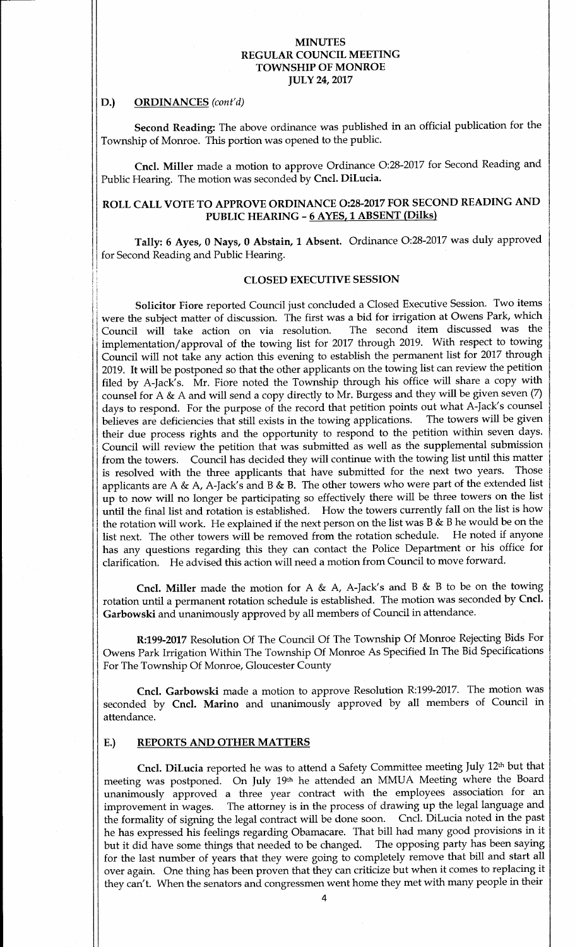#### D.) ORDINANCES (cont'd)

Second Reading: The above ordinance was published in an official publication for the Township of Monroe. This portion was opened to the public.

Cncl. Miller made <sup>a</sup> motion to approve Ordinance 0:28-2017 for Second Reading and Public Hearing. The motion was seconded by Cncl. DiLucia.

# ROLL CALL VOTE TO APPROVE ORDINANCE 0:28-2017 FOR SECOND READING AND PUBLIC HEARING - 6 AYES, 1 ABSENT (Dilks)

Tally: <sup>6</sup> Ayes, <sup>0</sup> Nays, 0 Abstain, <sup>1</sup> Absent. Ordinance 0:28-2017 was duly approved for Second Reading and Public Hearing.

## CLOSED EXECUTIVE SESSION

Solicitor Fiore reported Council just concluded <sup>a</sup> Closed Executive Session. Two items were the subject matter of discussion. The first was a bid for irrigation at Owens Park, which Council will take action on via resolution. The second item discussed was the implementation/ approval of the towing list for <sup>2017</sup> through 2019. With respect to towing Council will not take any action this evening to establish the permanent list for 2017 through 2019. It will be postponed so that the other applicants on the towing list can review the petition filed by A-Jack's. Mr. Fiore noted the Township through his office will share a copy with counsel for A & A and will send a copy directly to Mr. Burgess and they will be given seven  $(7)$ days to respond. For the purpose of the record that petition points out what A-Jack's counsel<br>believes are deficiencies that still exists in the towing applications. The towers will be given believes are deficiencies that still exists in the towing applications. their due process rights and the opportunity to respond to the petition within seven days. Council will review the petition that was submitted as well as the supplemental submission from the towers. Council has decided they will continue with the towing list until this matter is resolved with the three applicants that have submitted for the next two years. Those applicants are A & A, A-Jack's and B & B. The other towers who were part of the extended list up to now will no longer be participating so effectively there will be three towers on the list until the final list and rotation is established. How the towers currently fall on the list is how the rotation will work. He explained if the next person on the list was B  $\&$  B he would be on the list next. The other towers will be removed from the rotation schedule. He noted if anyone has any questions regarding this they can contact the Police Department or his office for clarification. He advised this action will need <sup>a</sup> motion from Council to move forward.

Cncl. Miller made the motion for A & A, A-Jack's and B & B to be on the towing rotation until a permanent rotation schedule is established. The motion was seconded by Cncl. Garbowski and unanimously approved by all members of Council in attendance.

R:199-2017 Resolution Of The Council Of The Township Of Monroe Rejecting Bids For Owens Park Irrigation Within The Township Of Monroe As Specified In The Bid Specifications For The Township Of Monroe, Gloucester County

Cncl. Garbowski made <sup>a</sup> motion to approve Resolution R:199-2017. The motion was seconded by Cncl. Marino and unanimously approved by all members of Council in attendance.

#### E.) REPORTS AND OTHER MATTERS

Cncl. DiLucia reported he was to attend a Safety Committee meeting July 12<sup>th</sup> but that meeting was postponed. On July 19th he attended an MMUA Meeting where the Board unanimously approved a three year contract with the employees association for an improvement in wages. The attorney is in the process of drawing up the legal language and The attorney is in the process of drawing up the legal language and the formality of signing the legal contract will be done soon. Cncl. DiLucia noted in the past he has expressed his feelings regarding Obamacare. That bill had many good provisions in it but it did have some things that needed to be changed. for the last number of years that they were going to completely remove that bill and start all over again. One thing has been proven that they can criticize but when it comes to replacing it they can't. When the senators and congressmen went home they met with many people in their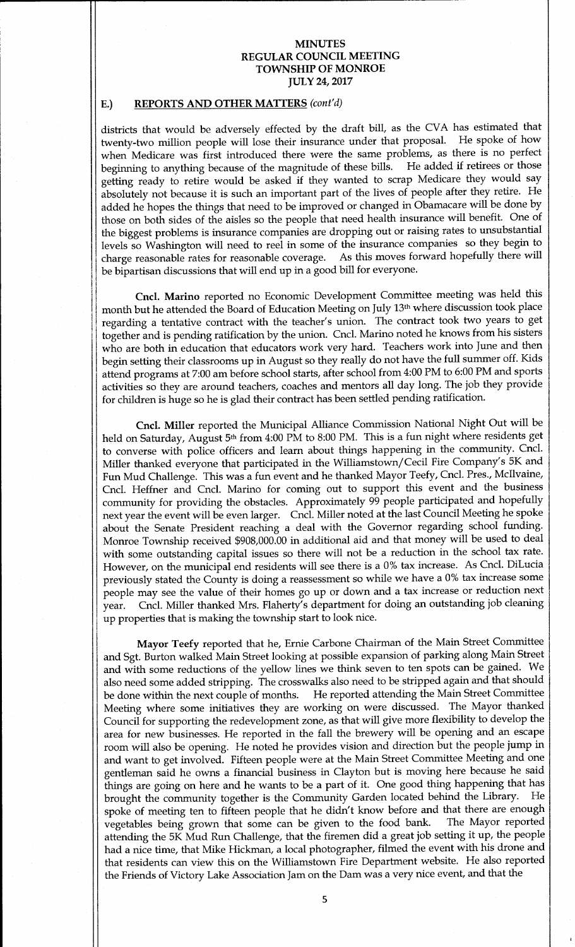## E.) REPORTS AND OTHER MATTERS (cont'd)

I

t

districts that would be adversely effected by the draft bill, as the CVA has estimated that twenty-two million people will lose their insurance under that proposal. He spoke of how when Medicare was first introduced there were the same problems, as there is no perfect beginning to anything because of the magnitude of these bills. He added if retirees or those getting ready to retire would be asked if they wanted to scrap Medicare they would say absolutely not because it is such an important part of the lives of people after they retire. He added he hopes the things that need to be improved or changed in Obamacare will be done by those on both sides of the aisles so the people that need health insurance will benefit. One of the biggest problems is insurance companies are dropping out or raising rates to unsubstantial levels so Washington will need to reel in some of the insurance companies so they begin to<br>charge reasonable rates for reasonable coverage. As this moves forward hopefully there will charge reasonable rates for reasonable coverage. be bipartisan discussions that will end up in <sup>a</sup> good bill for everyone.

Cncl. Marino reported no Economic Development Committee meeting was held this month but he attended the Board of Education Meeting on July 13<sup>th</sup> where discussion took place regarding a tentative contract with the teacher's union. The contract took two years to get together and is pending ratification by the union. Cncl. Marino noted he knows from his sisters who are both in education that educators work very hard. Teachers work into June and then begin setting their classrooms up in August so they really do not have the full summer off. Kids attend programs at 7:00 am before school starts, after school from 4:00 PM to 6:00 PM and sports activities so they are around teachers, coaches and mentors all day long. The job they provide for children is huge so he is glad their contract has been settled pending ratification.

Cncl. Miller reported the Municipal Alliance Commission National Night Out will be held on Saturday, August 5<sup>th</sup> from 4:00 PM to 8:00 PM. This is a fun night where residents get to converse with police officers and learn about things happening in the community. Cncl. Miller thanked everyone that participated in the Williamstown/Cecil Fire Company's 5K and Fun Mud Challenge. This was a fun event and he thanked Mayor Teefy, Cncl. Pres., Mcllvaine, Cncl. Heffner and Cncl. Marino for coming out to support this event and the business community for providing the obstacles. Approximately <sup>99</sup> people participated and hopefully next year the event will be even larger. Cncl. Miller noted at the last Council Meeting he spoke about the Senate President reaching <sup>a</sup> deal with the Governor regarding school funding. Monroe Township received \$908,000.00 in additional aid and that money will be used to deal with some outstanding capital issues so there will not be <sup>a</sup> reduction in the school tax rate. However, on the municipal end residents will see there is <sup>a</sup> 0% tax increase. As Cncl. DiLucia previously stated the County is doing <sup>a</sup> reassessment so while we have <sup>a</sup> 0% tax increase some people may see the value of their homes go up or down and a tax increase or reduction next year. Cncl. Miller thanked Mrs. Flaherty's department for doing an outstanding job cleaning up properties that is making the township start to look nice.

Mayor Teefy reported that he, Ernie Carbone Chairman of the Main Street Committee and Sgt. Burton walked Main Street looking at possible expansion of parking along Main Street and with some reductions of the yellow lines we think seven to ten spots can be gained. We also need some added stripping. The crosswalks also need to be stripped again and that should<br>be done within the next couple of months. He reported attending the Main Street Committee He reported attending the Main Street Committee Meeting where some initiatives they are working on were discussed. The Mayor thanked Council for supporting the redevelopment zone, as that will give more flexibility to develop the area for new businesses. He reported in the fall the brewery will be opening and an escape room will also be opening. He noted he provides vision and direction but the people jump in and want to get involved. Fifteen people were at the Main Street Committee Meeting and one gentleman said he owns a financial business in Clayton but is moving here because he said things are going on here and he wants to be a part of it. One good thing happening that has<br>brought the community together is the Community Garden located behind the Library. He brought the community together is the Community Garden located behind the Library. spoke of meeting ten to fifteen people that he didn't know before and that there are enough<br>vegetables being grown that some can be given to the food bank. The Mayor reported vegetables being grown that some can be given to the food bank. attending the 5K Mud Run Challenge, that the firemen did <sup>a</sup> great job setting it up, the people had a nice time, that Mike Hickman, a local photographer, filmed the event with his drone and that residents can view this on the Williamstown Fire Department website. He also reported the Friends of Victory Lake Association Jam on the Dam was a very nice event, and that the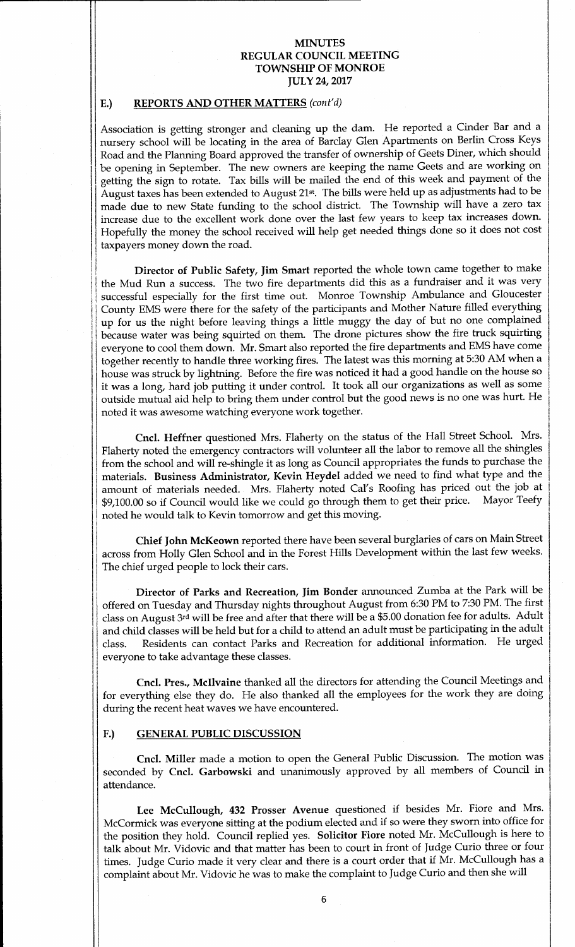## E.) REPORTS AND OTHER MATTERS (cont'd)

Association is getting stronger and cleaning up the dam. He reported <sup>a</sup> Cinder Bar and <sup>a</sup> nursery school will be locating in the area of Barclay Glen Apartments on Berlin Cross Keys Road and the Planning Board approved the transfer of ownership of Geets Diner, which should be opening in September. The new owners are keeping the name Geets and are working on getting the sign to rotate. Tax bills will be mailed the end of this week and payment of the August taxes has been extended to August 21st. The bills were held up as adjustments had to be made due to new State funding to the school district. The Township will have <sup>a</sup> zero tax increase due to the excellent work done over the last few years to keep tax increases down. Hopefully the money the school received will help get needed things done so it does not cost <sup>I</sup> taxpayers money down the road.

Director of Public Safety, Jim Smart reported the whole town came together to make the Mud Run <sup>a</sup> success. The two fire departments did this as <sup>a</sup> fundraiser and it was very successful especially for the first time out. Monroe Township Ambulance and Gloucester County EMS were there for the safety of the participants and Mother Nature filled everything up for us the night before leaving things a little muggy the day of but no one complained because water was being squirted on them. The drone pictures show the fire truck squirting everyone to cool them down. Mr. Smart also reported the fire departments and EMS have come together recently to handle three working fires. The latest was this morning at 5:30 AM when a house was struck by lightning. Before the fire was noticed it had <sup>a</sup> good handle on the house so it was <sup>a</sup> long, hard job putting it under control. It took all our organizations as well as some outside mutual aid help to bring them under control but the good news is no one was hurt. He noted it was awesome watching everyone work together.

Cncl. Heffner questioned Mrs. Flaherty on the status of the Hall Street School. Mrs. Flaherty noted the emergency contractors will volunteer all the labor to remove all the shingles from the school and will re-shingle it as long as Council appropriates the funds to purchase the materials. Business Administrator, Kevin Heydel added we need to find what type and the amount of materials needed. Mrs. Flaherty noted Cal's Roofing has priced out the job at \$9.100.00 so if Council would like we could go through them to get their price. Mayor Teefy \$9,100.00 so if Council would like we could go through them to get their price. noted he would talk to Kevin tomorrow and get this moving.

Chief John McKeown reported there have been several burglaries of cars on Main Street across from Holly Glen School and in the Forest Hills Development within the last few weeks. The chief urged people to lock their cars.

Director of Parks and Recreation, Jim Bonder announced Zumba at the Park will be offered on Tuesday and Thursday nights throughout August from 6:30 PM to 7:30 PM. The first class on August 3rd will be free and after that there will be a \$5.00 donation fee for adults. Adult and child classes will be held but for <sup>a</sup> child to attend an adult must be participating in the adult class. Residents can contact Parks and Recreation for additional information. He urged everyone to take advantage these classes.

Cncl. Pres., Mcllvaine thanked all the directors for attending the Council Meetings and for everything else they do. He also thanked all the employees for the work they are doing during the recent heat waves we have encountered.

### F.) GENERAL PUBLIC DISCUSSION

Cncl. Miller made <sup>a</sup> motion to open the General Public Discussion. The motion was seconded by Cncl. Garbowski and unanimously approved by all members of Council in attendance.

Lee McCullough, 432 Prosser Avenue questioned if besides Mr. Fiore and Mrs. McCormick was everyone sitting at the podium elected and if so were they sworn into office for the position they hold. Council replied yes. Solicitor Fiore noted Mr. McCullough is here to talk about Mr. Vidovic and that matter has been to court in front of Judge Curio three or four times. Judge Curio made it very clear and there is a court order that if Mr. McCullough has a complaint about Mr. Vidovic he was to make the complaint to Judge Curio and then she will